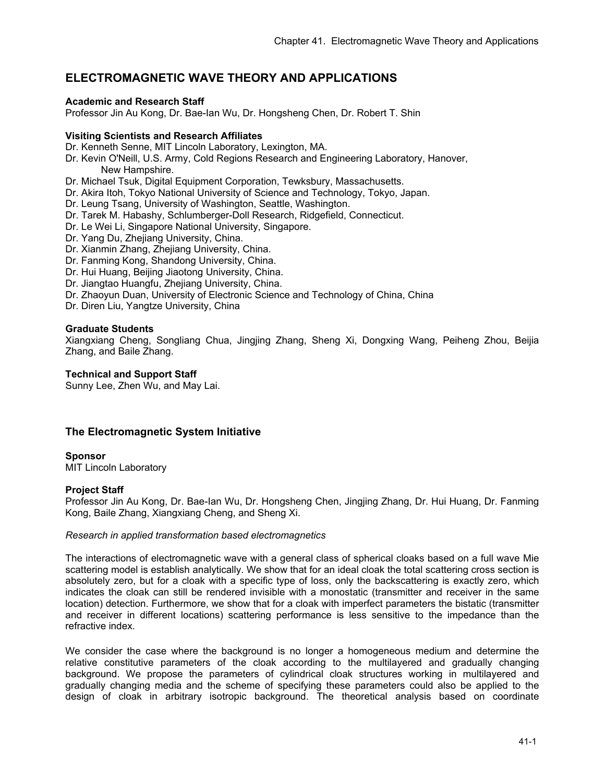# **ELECTROMAGNETIC WAVE THEORY AND APPLICATIONS**

## **Academic and Research Staff**

Professor Jin Au Kong, Dr. Bae-Ian Wu, Dr. Hongsheng Chen, Dr. Robert T. Shin

## **Visiting Scientists and Research Affiliates**

Dr. Kenneth Senne, MIT Lincoln Laboratory, Lexington, MA.

Dr. Kevin O'Neill, U.S. Army, Cold Regions Research and Engineering Laboratory, Hanover, New Hampshire.

Dr. Michael Tsuk, Digital Equipment Corporation, Tewksbury, Massachusetts.

- Dr. Akira Itoh, Tokyo National University of Science and Technology, Tokyo, Japan.
- Dr. Leung Tsang, University of Washington, Seattle, Washington.
- Dr. Tarek M. Habashy, Schlumberger-Doll Research, Ridgefield, Connecticut.
- Dr. Le Wei Li, Singapore National University, Singapore.
- Dr. Yang Du, Zhejiang University, China.
- Dr. Xianmin Zhang, Zhejiang University, China.
- Dr. Fanming Kong, Shandong University, China.
- Dr. Hui Huang, Beijing Jiaotong University, China.
- Dr. Jiangtao Huangfu, Zhejiang University, China.
- Dr. Zhaoyun Duan, University of Electronic Science and Technology of China, China
- Dr. Diren Liu, Yangtze University, China

## **Graduate Students**

Xiangxiang Cheng, Songliang Chua, Jingjing Zhang, Sheng Xi, Dongxing Wang, Peiheng Zhou, Beijia Zhang, and Baile Zhang.

## **Technical and Support Staff**

Sunny Lee, Zhen Wu, and May Lai.

## **The Electromagnetic System Initiative**

## **Sponsor**

MIT Lincoln Laboratory

#### **Project Staff**

Professor Jin Au Kong, Dr. Bae-Ian Wu, Dr. Hongsheng Chen, Jingjing Zhang, Dr. Hui Huang, Dr. Fanming Kong, Baile Zhang, Xiangxiang Cheng, and Sheng Xi.

#### *Research in applied transformation based electromagnetics*

The interactions of electromagnetic wave with a general class of spherical cloaks based on a full wave Mie scattering model is establish analytically. We show that for an ideal cloak the total scattering cross section is absolutely zero, but for a cloak with a specific type of loss, only the backscattering is exactly zero, which indicates the cloak can still be rendered invisible with a monostatic (transmitter and receiver in the same location) detection. Furthermore, we show that for a cloak with imperfect parameters the bistatic (transmitter and receiver in different locations) scattering performance is less sensitive to the impedance than the refractive index.

We consider the case where the background is no longer a homogeneous medium and determine the relative constitutive parameters of the cloak according to the multilayered and gradually changing background. We propose the parameters of cylindrical cloak structures working in multilayered and gradually changing media and the scheme of specifying these parameters could also be applied to the design of cloak in arbitrary isotropic background. The theoretical analysis based on coordinate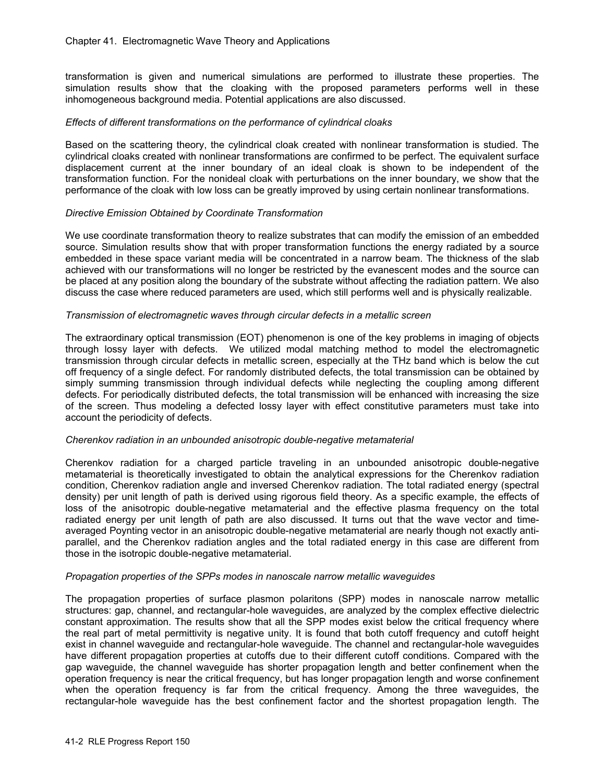transformation is given and numerical simulations are performed to illustrate these properties. The simulation results show that the cloaking with the proposed parameters performs well in these inhomogeneous background media. Potential applications are also discussed.

#### *Effects of different transformations on the performance of cylindrical cloaks*

Based on the scattering theory, the cylindrical cloak created with nonlinear transformation is studied. The cylindrical cloaks created with nonlinear transformations are confirmed to be perfect. The equivalent surface displacement current at the inner boundary of an ideal cloak is shown to be independent of the transformation function. For the nonideal cloak with perturbations on the inner boundary, we show that the performance of the cloak with low loss can be greatly improved by using certain nonlinear transformations.

#### *Directive Emission Obtained by Coordinate Transformation*

We use coordinate transformation theory to realize substrates that can modify the emission of an embedded source. Simulation results show that with proper transformation functions the energy radiated by a source embedded in these space variant media will be concentrated in a narrow beam. The thickness of the slab achieved with our transformations will no longer be restricted by the evanescent modes and the source can be placed at any position along the boundary of the substrate without affecting the radiation pattern. We also discuss the case where reduced parameters are used, which still performs well and is physically realizable.

#### *Transmission of electromagnetic waves through circular defects in a metallic screen*

The extraordinary optical transmission (EOT) phenomenon is one of the key problems in imaging of objects through lossy layer with defects. We utilized modal matching method to model the electromagnetic transmission through circular defects in metallic screen, especially at the THz band which is below the cut off frequency of a single defect. For randomly distributed defects, the total transmission can be obtained by simply summing transmission through individual defects while neglecting the coupling among different defects. For periodically distributed defects, the total transmission will be enhanced with increasing the size of the screen. Thus modeling a defected lossy layer with effect constitutive parameters must take into account the periodicity of defects.

#### *Cherenkov radiation in an unbounded anisotropic double-negative metamaterial*

Cherenkov radiation for a charged particle traveling in an unbounded anisotropic double-negative metamaterial is theoretically investigated to obtain the analytical expressions for the Cherenkov radiation condition, Cherenkov radiation angle and inversed Cherenkov radiation. The total radiated energy (spectral density) per unit length of path is derived using rigorous field theory. As a specific example, the effects of loss of the anisotropic double-negative metamaterial and the effective plasma frequency on the total radiated energy per unit length of path are also discussed. It turns out that the wave vector and timeaveraged Poynting vector in an anisotropic double-negative metamaterial are nearly though not exactly antiparallel, and the Cherenkov radiation angles and the total radiated energy in this case are different from those in the isotropic double-negative metamaterial.

#### *Propagation properties of the SPPs modes in nanoscale narrow metallic waveguides*

The propagation properties of surface plasmon polaritons (SPP) modes in nanoscale narrow metallic structures: gap, channel, and rectangular-hole waveguides, are analyzed by the complex effective dielectric constant approximation. The results show that all the SPP modes exist below the critical frequency where the real part of metal permittivity is negative unity. It is found that both cutoff frequency and cutoff height exist in channel waveguide and rectangular-hole waveguide. The channel and rectangular-hole waveguides have different propagation properties at cutoffs due to their different cutoff conditions. Compared with the gap waveguide, the channel waveguide has shorter propagation length and better confinement when the operation frequency is near the critical frequency, but has longer propagation length and worse confinement when the operation frequency is far from the critical frequency. Among the three waveguides, the rectangular-hole waveguide has the best confinement factor and the shortest propagation length. The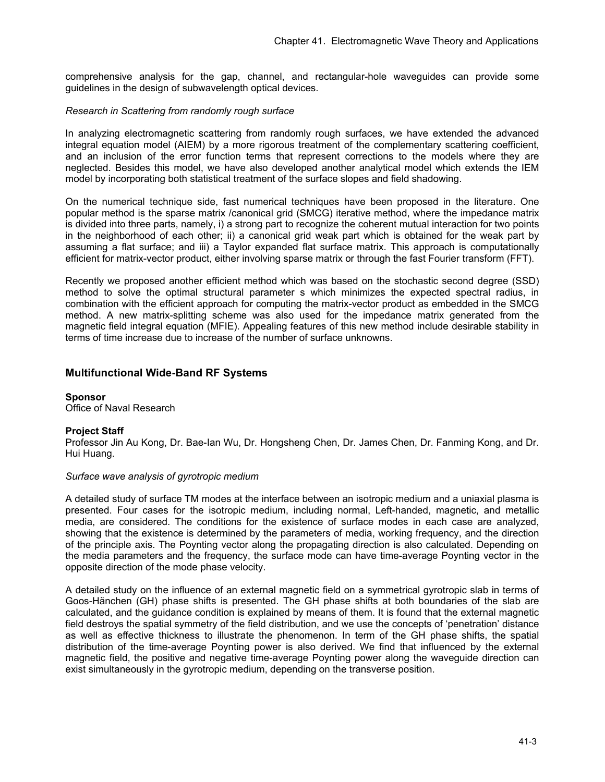comprehensive analysis for the gap, channel, and rectangular-hole waveguides can provide some guidelines in the design of subwavelength optical devices.

#### *Research in Scattering from randomly rough surface*

In analyzing electromagnetic scattering from randomly rough surfaces, we have extended the advanced integral equation model (AIEM) by a more rigorous treatment of the complementary scattering coefficient, and an inclusion of the error function terms that represent corrections to the models where they are neglected. Besides this model, we have also developed another analytical model which extends the IEM model by incorporating both statistical treatment of the surface slopes and field shadowing.

On the numerical technique side, fast numerical techniques have been proposed in the literature. One popular method is the sparse matrix /canonical grid (SMCG) iterative method, where the impedance matrix is divided into three parts, namely, i) a strong part to recognize the coherent mutual interaction for two points in the neighborhood of each other; ii) a canonical grid weak part which is obtained for the weak part by assuming a flat surface; and iii) a Taylor expanded flat surface matrix. This approach is computationally efficient for matrix-vector product, either involving sparse matrix or through the fast Fourier transform (FFT).

Recently we proposed another efficient method which was based on the stochastic second degree (SSD) method to solve the optimal structural parameter s which minimizes the expected spectral radius, in combination with the efficient approach for computing the matrix-vector product as embedded in the SMCG method. A new matrix-splitting scheme was also used for the impedance matrix generated from the magnetic field integral equation (MFIE). Appealing features of this new method include desirable stability in terms of time increase due to increase of the number of surface unknowns.

## **Multifunctional Wide-Band RF Systems**

**Sponsor**  Office of Naval Research

#### **Project Staff**

Professor Jin Au Kong, Dr. Bae-Ian Wu, Dr. Hongsheng Chen, Dr. James Chen, Dr. Fanming Kong, and Dr. Hui Huang.

#### *Surface wave analysis of gyrotropic medium*

A detailed study of surface TM modes at the interface between an isotropic medium and a uniaxial plasma is presented. Four cases for the isotropic medium, including normal, Left-handed, magnetic, and metallic media, are considered. The conditions for the existence of surface modes in each case are analyzed, showing that the existence is determined by the parameters of media, working frequency, and the direction of the principle axis. The Poynting vector along the propagating direction is also calculated. Depending on the media parameters and the frequency, the surface mode can have time-average Poynting vector in the opposite direction of the mode phase velocity.

A detailed study on the influence of an external magnetic field on a symmetrical gyrotropic slab in terms of Goos-Hänchen (GH) phase shifts is presented. The GH phase shifts at both boundaries of the slab are calculated, and the guidance condition is explained by means of them. It is found that the external magnetic field destroys the spatial symmetry of the field distribution, and we use the concepts of 'penetration' distance as well as effective thickness to illustrate the phenomenon. In term of the GH phase shifts, the spatial distribution of the time-average Poynting power is also derived. We find that influenced by the external magnetic field, the positive and negative time-average Poynting power along the waveguide direction can exist simultaneously in the gyrotropic medium, depending on the transverse position.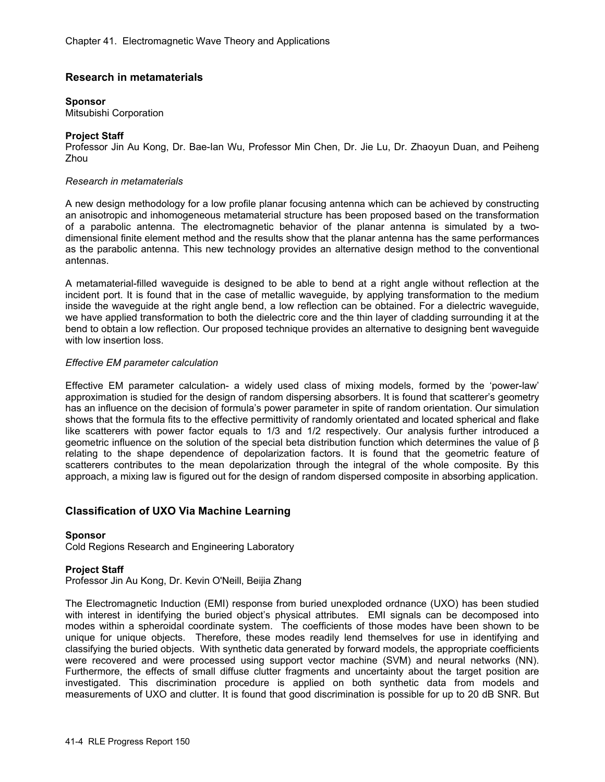## **Research in metamaterials**

#### **Sponsor**

Mitsubishi Corporation

## **Project Staff**

Professor Jin Au Kong, Dr. Bae-Ian Wu, Professor Min Chen, Dr. Jie Lu, Dr. Zhaoyun Duan, and Peiheng Zhou

#### *Research in metamaterials*

A new design methodology for a low profile planar focusing antenna which can be achieved by constructing an anisotropic and inhomogeneous metamaterial structure has been proposed based on the transformation of a parabolic antenna. The electromagnetic behavior of the planar antenna is simulated by a twodimensional finite element method and the results show that the planar antenna has the same performances as the parabolic antenna. This new technology provides an alternative design method to the conventional antennas.

A metamaterial-filled waveguide is designed to be able to bend at a right angle without reflection at the incident port. It is found that in the case of metallic waveguide, by applying transformation to the medium inside the waveguide at the right angle bend, a low reflection can be obtained. For a dielectric waveguide, we have applied transformation to both the dielectric core and the thin layer of cladding surrounding it at the bend to obtain a low reflection. Our proposed technique provides an alternative to designing bent waveguide with low insertion loss.

#### *Effective EM parameter calculation*

Effective EM parameter calculation- a widely used class of mixing models, formed by the 'power-law' approximation is studied for the design of random dispersing absorbers. It is found that scatterer's geometry has an influence on the decision of formula's power parameter in spite of random orientation. Our simulation shows that the formula fits to the effective permittivity of randomly orientated and located spherical and flake like scatterers with power factor equals to 1/3 and 1/2 respectively. Our analysis further introduced a geometric influence on the solution of the special beta distribution function which determines the value of β relating to the shape dependence of depolarization factors. It is found that the geometric feature of scatterers contributes to the mean depolarization through the integral of the whole composite. By this approach, a mixing law is figured out for the design of random dispersed composite in absorbing application.

## **Classification of UXO Via Machine Learning**

#### **Sponsor**

Cold Regions Research and Engineering Laboratory

#### **Project Staff**

Professor Jin Au Kong, Dr. Kevin O'Neill, Beijia Zhang

The Electromagnetic Induction (EMI) response from buried unexploded ordnance (UXO) has been studied with interest in identifying the buried object's physical attributes. EMI signals can be decomposed into modes within a spheroidal coordinate system. The coefficients of those modes have been shown to be unique for unique objects. Therefore, these modes readily lend themselves for use in identifying and classifying the buried objects. With synthetic data generated by forward models, the appropriate coefficients were recovered and were processed using support vector machine (SVM) and neural networks (NN). Furthermore, the effects of small diffuse clutter fragments and uncertainty about the target position are investigated. This discrimination procedure is applied on both synthetic data from models and measurements of UXO and clutter. It is found that good discrimination is possible for up to 20 dB SNR. But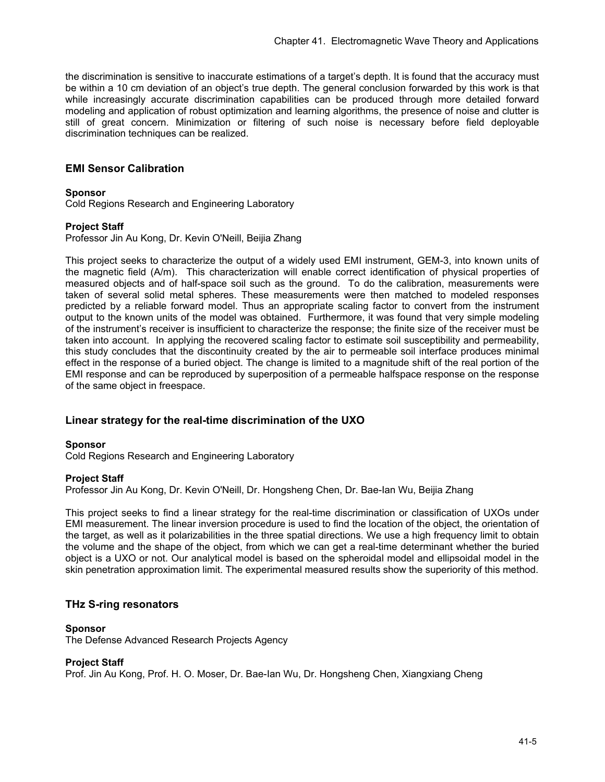the discrimination is sensitive to inaccurate estimations of a target's depth. It is found that the accuracy must be within a 10 cm deviation of an object's true depth. The general conclusion forwarded by this work is that while increasingly accurate discrimination capabilities can be produced through more detailed forward modeling and application of robust optimization and learning algorithms, the presence of noise and clutter is still of great concern. Minimization or filtering of such noise is necessary before field deployable discrimination techniques can be realized.

## **EMI Sensor Calibration**

## **Sponsor**

Cold Regions Research and Engineering Laboratory

## **Project Staff**

Professor Jin Au Kong, Dr. Kevin O'Neill, Beijia Zhang

This project seeks to characterize the output of a widely used EMI instrument, GEM-3, into known units of the magnetic field (A/m). This characterization will enable correct identification of physical properties of measured objects and of half-space soil such as the ground. To do the calibration, measurements were taken of several solid metal spheres. These measurements were then matched to modeled responses predicted by a reliable forward model. Thus an appropriate scaling factor to convert from the instrument output to the known units of the model was obtained. Furthermore, it was found that very simple modeling of the instrument's receiver is insufficient to characterize the response; the finite size of the receiver must be taken into account. In applying the recovered scaling factor to estimate soil susceptibility and permeability, this study concludes that the discontinuity created by the air to permeable soil interface produces minimal effect in the response of a buried object. The change is limited to a magnitude shift of the real portion of the EMI response and can be reproduced by superposition of a permeable halfspace response on the response of the same object in freespace.

## **Linear strategy for the real-time discrimination of the UXO**

#### **Sponsor**

Cold Regions Research and Engineering Laboratory

#### **Project Staff**

Professor Jin Au Kong, Dr. Kevin O'Neill, Dr. Hongsheng Chen, Dr. Bae-Ian Wu, Beijia Zhang

This project seeks to find a linear strategy for the real-time discrimination or classification of UXOs under EMI measurement. The linear inversion procedure is used to find the location of the object, the orientation of the target, as well as it polarizabilities in the three spatial directions. We use a high frequency limit to obtain the volume and the shape of the object, from which we can get a real-time determinant whether the buried object is a UXO or not. Our analytical model is based on the spheroidal model and ellipsoidal model in the skin penetration approximation limit. The experimental measured results show the superiority of this method.

## **THz S-ring resonators**

#### **Sponsor**

The Defense Advanced Research Projects Agency

#### **Project Staff**

Prof. Jin Au Kong, Prof. H. O. Moser, Dr. Bae-Ian Wu, Dr. Hongsheng Chen, Xiangxiang Cheng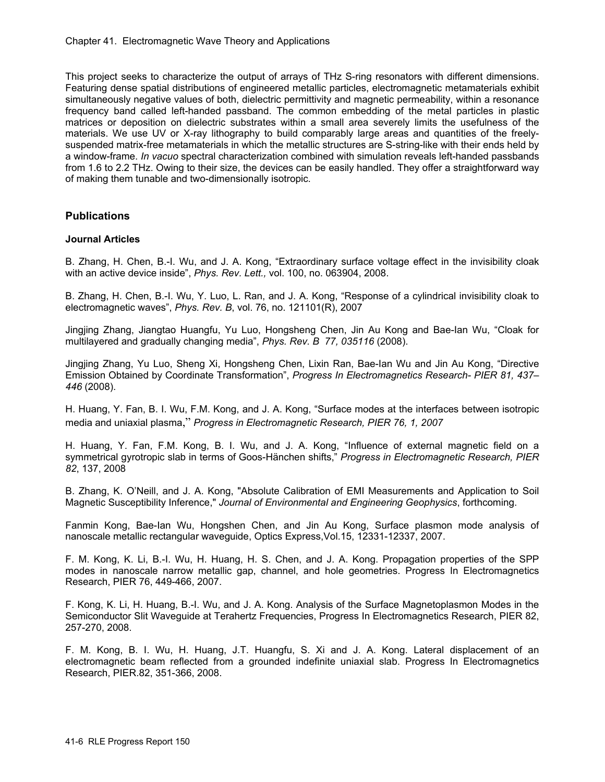This project seeks to characterize the output of arrays of THz S-ring resonators with different dimensions. Featuring dense spatial distributions of engineered metallic particles, electromagnetic metamaterials exhibit simultaneously negative values of both, dielectric permittivity and magnetic permeability, within a resonance frequency band called left-handed passband. The common embedding of the metal particles in plastic matrices or deposition on dielectric substrates within a small area severely limits the usefulness of the materials. We use UV or X-ray lithography to build comparably large areas and quantities of the freelysuspended matrix-free metamaterials in which the metallic structures are S-string-like with their ends held by a window-frame. *In vacuo* spectral characterization combined with simulation reveals left-handed passbands from 1.6 to 2.2 THz. Owing to their size, the devices can be easily handled. They offer a straightforward way of making them tunable and two-dimensionally isotropic.

## **Publications**

## **Journal Articles**

B. Zhang, H. Chen, B.-I. Wu, and J. A. Kong, "Extraordinary surface voltage effect in the invisibility cloak with an active device inside", *Phys. Rev. Lett.,* vol. 100, no. 063904, 2008.

B. Zhang, H. Chen, B.-I. Wu, Y. Luo, L. Ran, and J. A. Kong, "Response of a cylindrical invisibility cloak to electromagnetic waves", *Phys. Rev. B*, vol. 76, no. 121101(R), 2007

Jingjing Zhang, Jiangtao Huangfu, Yu Luo, Hongsheng Chen, Jin Au Kong and Bae-Ian Wu, "Cloak for multilayered and gradually changing media", *Phys. Rev. B 77, 035116* (2008).

Jingjing Zhang, Yu Luo, Sheng Xi, Hongsheng Chen, Lixin Ran, Bae-Ian Wu and Jin Au Kong, "Directive Emission Obtained by Coordinate Transformation", *Progress In Electromagnetics Research- PIER 81, 437– 446* (2008).

H. Huang, Y. Fan, B. I. Wu, F.M. Kong, and J. A. Kong, "Surface modes at the interfaces between isotropic media and uniaxial plasma," *Progress in Electromagnetic Research, PIER 76, 1, 2007* 

H. Huang, Y. Fan, F.M. Kong, B. I. Wu, and J. A. Kong, "Influence of external magnetic field on a symmetrical gyrotropic slab in terms of Goos-Hänchen shifts," *Progress in Electromagnetic Research, PIER 82*, 137, 2008

B. Zhang, K. O'Neill, and J. A. Kong, "Absolute Calibration of EMI Measurements and Application to Soil Magnetic Susceptibility Inference," *Journal of Environmental and Engineering Geophysics*, forthcoming.

Fanmin Kong, Bae-Ian Wu, Hongshen Chen, and Jin Au Kong, Surface plasmon mode analysis of nanoscale metallic rectangular waveguide, Optics Express,Vol.15, 12331-12337, 2007.

F. M. Kong, K. Li, B.-I. Wu, H. Huang, H. S. Chen, and J. A. Kong. Propagation properties of the SPP modes in nanoscale narrow metallic gap, channel, and hole geometries. Progress In Electromagnetics Research, PIER 76, 449-466, 2007.

F. Kong, K. Li, H. Huang, B.-I. Wu, and J. A. Kong. Analysis of the Surface Magnetoplasmon Modes in the Semiconductor Slit Waveguide at Terahertz Frequencies, Progress In Electromagnetics Research, PIER 82, 257-270, 2008.

F. M. Kong, B. I. Wu, H. Huang, J.T. Huangfu, S. Xi and J. A. Kong. Lateral displacement of an electromagnetic beam reflected from a grounded indefinite uniaxial slab. Progress In Electromagnetics Research, PIER.82, 351-366, 2008.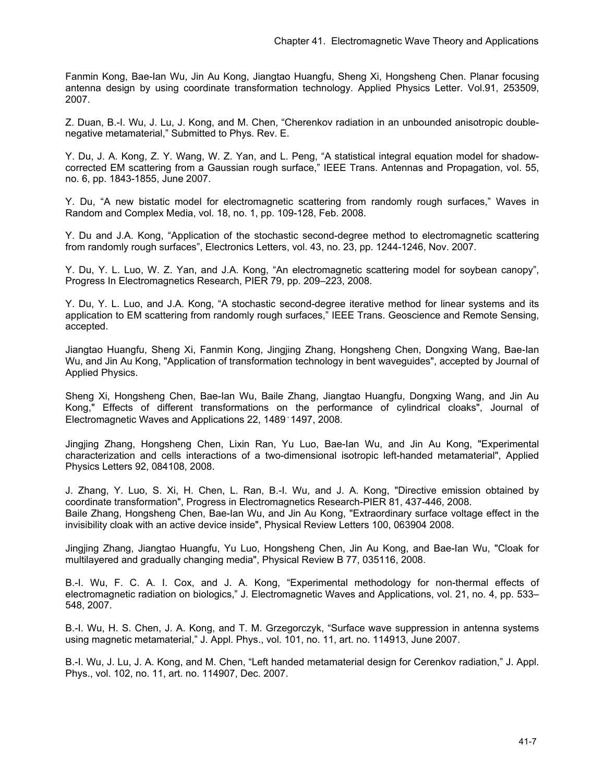Fanmin Kong, Bae-Ian Wu, Jin Au Kong, Jiangtao Huangfu, Sheng Xi, Hongsheng Chen. Planar focusing antenna design by using coordinate transformation technology. Applied Physics Letter. Vol.91, 253509, 2007.

Z. Duan, B.-I. Wu, J. Lu, J. Kong, and M. Chen, "Cherenkov radiation in an unbounded anisotropic doublenegative metamaterial," Submitted to Phys. Rev. E.

Y. Du, J. A. Kong, Z. Y. Wang, W. Z. Yan, and L. Peng, "A statistical integral equation model for shadowcorrected EM scattering from a Gaussian rough surface," IEEE Trans. Antennas and Propagation, vol. 55, no. 6, pp. 1843-1855, June 2007.

Y. Du, "A new bistatic model for electromagnetic scattering from randomly rough surfaces," Waves in Random and Complex Media, vol. 18, no. 1, pp. 109-128, Feb. 2008.

Y. Du and J.A. Kong, "Application of the stochastic second-degree method to electromagnetic scattering from randomly rough surfaces", Electronics Letters, vol. 43, no. 23, pp. 1244-1246, Nov. 2007.

Y. Du, Y. L. Luo, W. Z. Yan, and J.A. Kong, "An electromagnetic scattering model for soybean canopy", Progress In Electromagnetics Research, PIER 79, pp. 209–223, 2008.

Y. Du, Y. L. Luo, and J.A. Kong, "A stochastic second-degree iterative method for linear systems and its application to EM scattering from randomly rough surfaces," IEEE Trans. Geoscience and Remote Sensing, accepted.

Jiangtao Huangfu, Sheng Xi, Fanmin Kong, Jingjing Zhang, Hongsheng Chen, Dongxing Wang, Bae-Ian Wu, and Jin Au Kong, "Application of transformation technology in bent waveguides", accepted by Journal of Applied Physics.

Sheng Xi, Hongsheng Chen, Bae-Ian Wu, Baile Zhang, Jiangtao Huangfu, Dongxing Wang, and Jin Au Kong," Effects of different transformations on the performance of cylindrical cloaks", Journal of Electromagnetic Waves and Applications 22, 1489 + 1497, 2008.

Jingjing Zhang, Hongsheng Chen, Lixin Ran, Yu Luo, Bae-Ian Wu, and Jin Au Kong, "Experimental characterization and cells interactions of a two-dimensional isotropic left-handed metamaterial", Applied Physics Letters 92, 084108, 2008.

J. Zhang, Y. Luo, S. Xi, H. Chen, L. Ran, B.-I. Wu, and J. A. Kong, "Directive emission obtained by coordinate transformation", Progress in Electromagnetics Research-PIER 81, 437-446, 2008.

Baile Zhang, Hongsheng Chen, Bae-Ian Wu, and Jin Au Kong, "Extraordinary surface voltage effect in the invisibility cloak with an active device inside", Physical Review Letters 100, 063904 2008.

Jingjing Zhang, Jiangtao Huangfu, Yu Luo, Hongsheng Chen, Jin Au Kong, and Bae-Ian Wu, "Cloak for multilayered and gradually changing media", Physical Review B 77, 035116, 2008.

B.-I. Wu, F. C. A. I. Cox, and J. A. Kong, "Experimental methodology for non-thermal effects of electromagnetic radiation on biologics," J. Electromagnetic Waves and Applications, vol. 21, no. 4, pp. 533– 548, 2007.

B.-I. Wu, H. S. Chen, J. A. Kong, and T. M. Grzegorczyk, "Surface wave suppression in antenna systems using magnetic metamaterial," J. Appl. Phys., vol. 101, no. 11, art. no. 114913, June 2007.

B.-I. Wu, J. Lu, J. A. Kong, and M. Chen, "Left handed metamaterial design for Cerenkov radiation," J. Appl. Phys., vol. 102, no. 11, art. no. 114907, Dec. 2007.